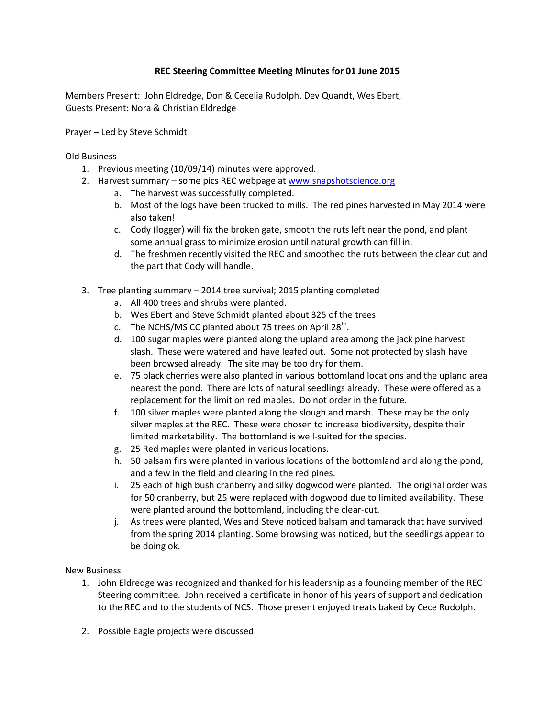## **REC Steering Committee Meeting Minutes for 01 June 2015**

Members Present: John Eldredge, Don & Cecelia Rudolph, Dev Quandt, Wes Ebert, Guests Present: Nora & Christian Eldredge

Prayer – Led by Steve Schmidt

Old Business

- 1. Previous meeting (10/09/14) minutes were approved.
- 2. Harvest summary some pics REC webpage at [www.snapshotscience.org](http://www.snapshotscience.org/)
	- a. The harvest was successfully completed.
	- b. Most of the logs have been trucked to mills. The red pines harvested in May 2014 were also taken!
	- c. Cody (logger) will fix the broken gate, smooth the ruts left near the pond, and plant some annual grass to minimize erosion until natural growth can fill in.
	- d. The freshmen recently visited the REC and smoothed the ruts between the clear cut and the part that Cody will handle.
- 3. Tree planting summary 2014 tree survival; 2015 planting completed
	- a. All 400 trees and shrubs were planted.
	- b. Wes Ebert and Steve Schmidt planted about 325 of the trees
	- c. The NCHS/MS CC planted about 75 trees on April 28<sup>th</sup>.
	- d. 100 sugar maples were planted along the upland area among the jack pine harvest slash. These were watered and have leafed out. Some not protected by slash have been browsed already. The site may be too dry for them.
	- e. 75 black cherries were also planted in various bottomland locations and the upland area nearest the pond. There are lots of natural seedlings already. These were offered as a replacement for the limit on red maples. Do not order in the future.
	- f. 100 silver maples were planted along the slough and marsh. These may be the only silver maples at the REC. These were chosen to increase biodiversity, despite their limited marketability. The bottomland is well-suited for the species.
	- g. 25 Red maples were planted in various locations.
	- h. 50 balsam firs were planted in various locations of the bottomland and along the pond, and a few in the field and clearing in the red pines.
	- i. 25 each of high bush cranberry and silky dogwood were planted. The original order was for 50 cranberry, but 25 were replaced with dogwood due to limited availability. These were planted around the bottomland, including the clear-cut.
	- j. As trees were planted, Wes and Steve noticed balsam and tamarack that have survived from the spring 2014 planting. Some browsing was noticed, but the seedlings appear to be doing ok.

## New Business

- 1. John Eldredge was recognized and thanked for his leadership as a founding member of the REC Steering committee. John received a certificate in honor of his years of support and dedication to the REC and to the students of NCS. Those present enjoyed treats baked by Cece Rudolph.
- 2. Possible Eagle projects were discussed.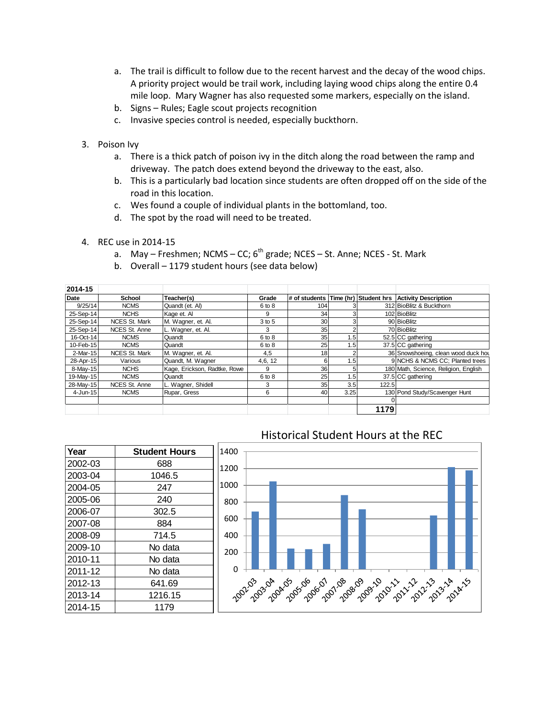- a. The trail is difficult to follow due to the recent harvest and the decay of the wood chips. A priority project would be trail work, including laying wood chips along the entire 0.4 mile loop. Mary Wagner has also requested some markers, especially on the island.
- b. Signs Rules; Eagle scout projects recognition
- c. Invasive species control is needed, especially buckthorn.
- 3. Poison Ivy
	- a. There is a thick patch of poison ivy in the ditch along the road between the ramp and driveway. The patch does extend beyond the driveway to the east, also.
	- b. This is a particularly bad location since students are often dropped off on the side of the road in this location.
	- c. Wes found a couple of individual plants in the bottomland, too.
	- d. The spot by the road will need to be treated.
- 4. REC use in 2014-15
	- a. May Freshmen; NCMS CC;  $6^{th}$  grade; NCES St. Anne; NCES St. Mark
	- b. Overall 1179 student hours (see data below)

| 2014-15   |                      |                              |        |                 |      |       |                                                          |
|-----------|----------------------|------------------------------|--------|-----------------|------|-------|----------------------------------------------------------|
| Date      | <b>School</b>        | Teacher(s)                   | Grade  |                 |      |       | # of students Time (hr) Student hrs Activity Description |
| 9/25/14   | <b>NCMS</b>          | Quandt (et. Al)              | 6 to 8 | 104             |      |       | 312 BioBlitz & Buckthorn                                 |
| 25-Sep-14 | <b>NCHS</b>          | Kage et. Al                  | 9      | 34              |      |       | 102 BioBlitz                                             |
| 25-Sep-14 | <b>NCES St. Mark</b> | M. Wagner, et. Al.           | 3 to 5 | 30 <sup>1</sup> |      |       | 90 BioBlitz                                              |
| 25-Sep-14 | NCES St. Anne        | L. Wagner, et. Al.           | 3      | 35 <sub>1</sub> |      |       | 70 BioBlitz                                              |
| 16-Oct-14 | <b>NCMS</b>          | Quandt                       | 6 to 8 | 35 <sub>l</sub> | 1.5  |       | 52.5 CC gathering                                        |
| 10-Feb-15 | <b>NCMS</b>          | Quandt                       | 6 to 8 | 25              | 1.5  |       | 37.5 CC gathering                                        |
| 2-Mar-15  | <b>NCES St. Mark</b> | M. Wagner, et. Al.           | 4,5    | 18 <sub>1</sub> |      |       | 36 Snowshoeing, clean wood duck hou                      |
| 28-Apr-15 | Various              | Quandt, M. Wagner            | 4,6,12 |                 | 1.5  |       | 9 NCHS & NCMS CC; Planted trees                          |
| 8-May-15  | <b>NCHS</b>          | Kage, Erickson, Radtke, Rowe | 9      | 36              |      |       | 180 Math, Science, Religion, English                     |
| 19-May-15 | <b>NCMS</b>          | Quandt                       | 6 to 8 | 25 <sub>1</sub> | 1.5  |       | 37.5 CC gathering                                        |
| 28-May-15 | NCES St. Anne        | L. Wagner, Shidell           | 3      | 35 <sub>1</sub> | 3.5  | 122.5 |                                                          |
| 4-Jun-15  | <b>NCMS</b>          | Rupar, Gress                 | 6      | 40              | 3.25 |       | 130 Pond Study/Scavenger Hunt                            |
|           |                      |                              |        |                 |      |       |                                                          |
|           |                      |                              |        |                 |      | 1179  |                                                          |

| Year    | <b>Student Hours</b> |  |  |  |  |
|---------|----------------------|--|--|--|--|
| 2002-03 | 688                  |  |  |  |  |
| 2003-04 | 1046.5               |  |  |  |  |
| 2004-05 | 247                  |  |  |  |  |
| 2005-06 | 240                  |  |  |  |  |
| 2006-07 | 302.5                |  |  |  |  |
| 2007-08 | 884                  |  |  |  |  |
| 2008-09 | 714.5                |  |  |  |  |
| 2009-10 | No data              |  |  |  |  |
| 2010-11 | No data              |  |  |  |  |
| 2011-12 | No data              |  |  |  |  |
| 2012-13 | 641.69               |  |  |  |  |
| 2013-14 | 1216.15              |  |  |  |  |
| 2014-15 | 1179                 |  |  |  |  |

## Historical Student Hours at the REC